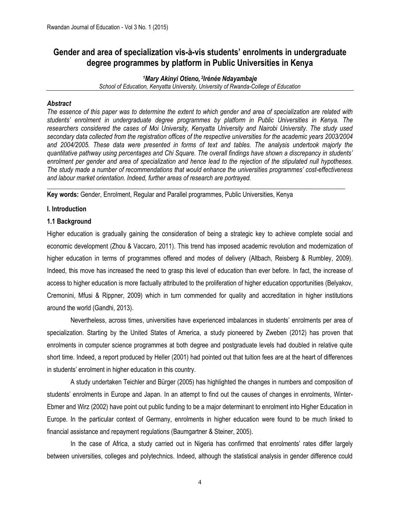# **Gender and area of specialization vis-à-vis students' enrolments in undergraduate degree programmes by platform in Public Universities in Kenya**

*<sup>1</sup>Mary Akinyi Otieno, 2 Irénée Ndayambaje School of Education, Kenyatta University, University of Rwanda-College of Education*

# *Abstract*

*The essence of this paper was to determine the extent to which gender and area of specialization are related with students' enrolment in undergraduate degree programmes by platform in Public Universities in Kenya. The researchers considered the cases of Moi University, Kenyatta University and Nairobi University. The study used secondary data collected from the registration offices of the respective universities for the academic years 2003/2004 and 2004/2005. These data were presented in forms of text and tables. The analysis undertook majorly the quantitative pathway using percentages and Chi Square. The overall findings have shown a discrepancy in students' enrolment per gender and area of specialization and hence lead to the rejection of the stipulated null hypotheses. The study made a number of recommendations that would enhance the universities programmes' cost-effectiveness and labour market orientation. Indeed, further areas of research are portrayed.*

 $\_$  ,  $\_$  ,  $\_$  ,  $\_$  ,  $\_$  ,  $\_$  ,  $\_$  ,  $\_$  ,  $\_$  ,  $\_$  ,  $\_$  ,  $\_$  ,  $\_$  ,  $\_$  ,  $\_$  ,  $\_$  ,  $\_$  ,  $\_$  ,  $\_$  ,  $\_$  ,  $\_$  ,  $\_$  ,  $\_$  ,  $\_$  ,  $\_$  ,  $\_$  ,  $\_$  ,  $\_$  ,  $\_$  ,  $\_$  ,  $\_$  ,  $\_$  ,  $\_$  ,  $\_$  ,  $\_$  ,  $\_$  ,  $\_$  ,

**Key words:** Gender, Enrolment, Regular and Parallel programmes, Public Universities, Kenya

# **I. Introduction**

# **1.1 Background**

Higher education is gradually gaining the consideration of being a strategic key to achieve complete social and economic development (Zhou & Vaccaro, 2011). This trend has imposed academic revolution and modernization of higher education in terms of programmes offered and modes of delivery (Altbach, Reisberg & Rumbley, 2009). Indeed, this move has increased the need to grasp this level of education than ever before. In fact, the increase of access to higher education is more factually attributed to the proliferation of higher education opportunities (Belyakov, Cremonini, Mfusi & Rippner, 2009) which in turn commended for quality and accreditation in higher institutions around the world (Gandhi, 2013).

Nevertheless, across times, universities have experienced imbalances in students' enrolments per area of specialization. Starting by the United States of America, a study pioneered by Zweben (2012) has proven that enrolments in computer science programmes at both degree and postgraduate levels had doubled in relative quite short time. Indeed, a report produced by Heller (2001) had pointed out that tuition fees are at the heart of differences in students' enrolment in higher education in this country.

 A study undertaken Teichler and Bürger (2005) has highlighted the changes in numbers and composition of students' enrolments in Europe and Japan. In an attempt to find out the causes of changes in enrolments, Winter-Ebmer and Wirz (2002) have point out public funding to be a major determinant to enrolment into Higher Education in Europe. In the particular context of Germany, enrolments in higher education were found to be much linked to financial assistance and repayment regulations (Baumgartner & Steiner, 2005).

In the case of Africa, a study carried out in Nigeria has confirmed that enrolments' rates differ largely between universities, colleges and polytechnics. Indeed, although the statistical analysis in gender difference could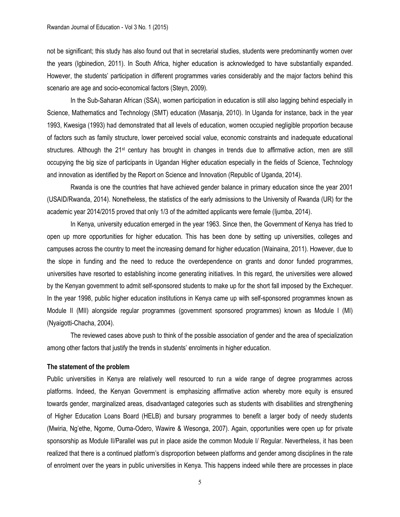not be significant; this study has also found out that in secretarial studies, students were predominantly women over the years (Igbinedion, 2011). In South Africa, higher education is acknowledged to have substantially expanded. However, the students' participation in different programmes varies considerably and the major factors behind this scenario are age and socio-economical factors (Steyn, 2009).

In the Sub-Saharan African (SSA), women participation in education is still also lagging behind especially in Science, Mathematics and Technology (SMT) education (Masanja, 2010). In Uganda for instance, back in the year 1993, Kwesiga (1993) had demonstrated that all levels of education, women occupied negligible proportion because of factors such as family structure, lower perceived social value, economic constraints and inadequate educational structures. Although the 21<sup>st</sup> century has brought in changes in trends due to affirmative action, men are still occupying the big size of participants in Ugandan Higher education especially in the fields of Science, Technology and innovation as identified by the Report on Science and Innovation (Republic of Uganda, 2014).

Rwanda is one the countries that have achieved gender balance in primary education since the year 2001 (USAID/Rwanda, 2014). Nonetheless, the statistics of the early admissions to the University of Rwanda (UR) for the academic year 2014/2015 proved that only 1/3 of the admitted applicants were female (Ijumba, 2014).

In Kenya, university education emerged in the year 1963. Since then, the Government of Kenya has tried to open up more opportunities for higher education. This has been done by setting up universities, colleges and campuses across the country to meet the increasing demand for higher education (Wainaina, 2011). However, due to the slope in funding and the need to reduce the overdependence on grants and donor funded programmes, universities have resorted to establishing income generating initiatives. In this regard, the universities were allowed by the Kenyan government to admit self-sponsored students to make up for the short fall imposed by the Exchequer. In the year 1998, public higher education institutions in Kenya came up with self-sponsored programmes known as Module II (MII) alongside regular programmes (government sponsored programmes) known as Module I (MI) (Nyaigotti-Chacha, 2004).

The reviewed cases above push to think of the possible association of gender and the area of specialization among other factors that justify the trends in students' enrolments in higher education.

#### **The statement of the problem**

Public universities in Kenya are relatively well resourced to run a wide range of degree programmes across platforms. Indeed, the Kenyan Government is emphasizing affirmative action whereby more equity is ensured towards gender, marginalized areas, disadvantaged categories such as students with disabilities and strengthening of Higher Education Loans Board (HELB) and bursary programmes to benefit a larger body of needy students (Mwiria, Ng'ethe, Ngome, Ouma-Odero, Wawire & Wesonga, 2007). Again, opportunities were open up for private sponsorship as Module II/Parallel was put in place aside the common Module I/ Regular. Nevertheless, it has been realized that there is a continued platform's disproportion between platforms and gender among disciplines in the rate of enrolment over the years in public universities in Kenya. This happens indeed while there are processes in place

5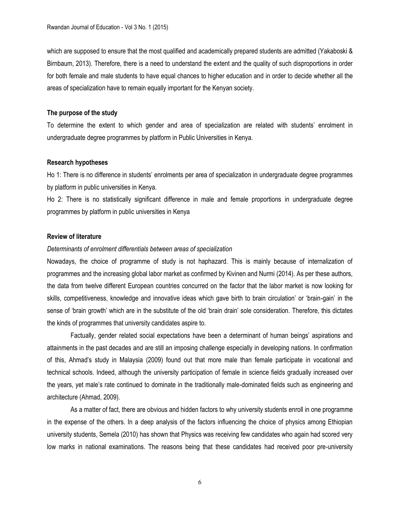which are supposed to ensure that the most qualified and academically prepared students are admitted (Yakaboski & Birnbaum, 2013). Therefore, there is a need to understand the extent and the quality of such disproportions in order for both female and male students to have equal chances to higher education and in order to decide whether all the areas of specialization have to remain equally important for the Kenyan society.

### **The purpose of the study**

To determine the extent to which gender and area of specialization are related with students' enrolment in undergraduate degree programmes by platform in Public Universities in Kenya.

#### **Research hypotheses**

Ho 1: There is no difference in students' enrolments per area of specialization in undergraduate degree programmes by platform in public universities in Kenya.

Ho 2: There is no statistically significant difference in male and female proportions in undergraduate degree programmes by platform in public universities in Kenya

# **Review of literature**

### *Determinants of enrolment differentials between areas of specialization*

Nowadays, the choice of programme of study is not haphazard. This is mainly because of internalization of programmes and the increasing global labor market as confirmed by Kivinen and Nurmi (2014). As per these authors, the data from twelve different European countries concurred on the factor that the labor market is now looking for skills, competitiveness, knowledge and innovative ideas which gave birth to brain circulation' or 'brain-gain' in the sense of 'brain growth' which are in the substitute of the old 'brain drain' sole consideration. Therefore, this dictates the kinds of programmes that university candidates aspire to.

Factually, gender related social expectations have been a determinant of human beings' aspirations and attainments in the past decades and are still an imposing challenge especially in developing nations. In confirmation of this, Ahmad's study in Malaysia (2009) found out that more male than female participate in vocational and technical schools. Indeed, although the university participation of female in science fields gradually increased over the years, yet male's rate continued to dominate in the traditionally male-dominated fields such as engineering and architecture (Ahmad, 2009).

As a matter of fact, there are obvious and hidden factors to why university students enroll in one programme in the expense of the others. In a deep analysis of the factors influencing the choice of physics among Ethiopian university students, Semela (2010) has shown that Physics was receiving few candidates who again had scored very low marks in national examinations. The reasons being that these candidates had received poor pre-university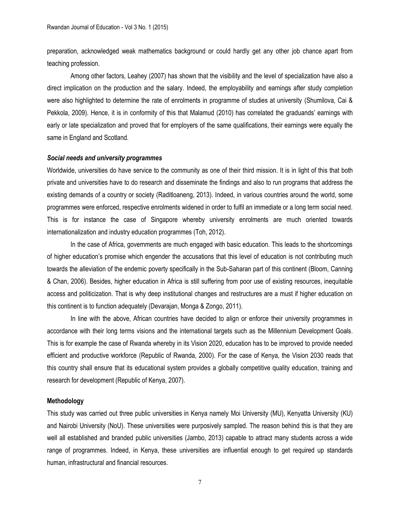preparation, acknowledged weak mathematics background or could hardly get any other job chance apart from teaching profession.

Among other factors, Leahey (2007) has shown that the visibility and the level of specialization have also a direct implication on the production and the salary. Indeed, the employability and earnings after study completion were also highlighted to determine the rate of enrolments in programme of studies at university (Shumilova, Cai & Pekkola, 2009). Hence, it is in conformity of this that Malamud (2010) has correlated the graduands' earnings with early or late specialization and proved that for employers of the same qualifications, their earnings were equally the same in England and Scotland.

### *Social needs and university programmes*

Worldwide, universities do have service to the community as one of their third mission. It is in light of this that both private and universities have to do research and disseminate the findings and also to run programs that address the existing demands of a country or society (Raditloaneng, 2013). Indeed, in various countries around the world, some programmes were enforced, respective enrolments widened in order to fulfil an immediate or a long term social need. This is for instance the case of Singapore whereby university enrolments are much oriented towards internationalization and industry education programmes (Toh, 2012).

In the case of Africa, governments are much engaged with basic education. This leads to the shortcomings of higher education's promise which engender the accusations that this level of education is not contributing much towards the alleviation of the endemic poverty specifically in the Sub-Saharan part of this continent (Bloom, Canning & Chan, 2006). Besides, higher education in Africa is still suffering from poor use of existing resources, inequitable access and politicization. That is why deep institutional changes and restructures are a must if higher education on this continent is to function adequately (Devarajan, Monga & Zongo, 2011).

In line with the above, African countries have decided to align or enforce their university programmes in accordance with their long terms visions and the international targets such as the Millennium Development Goals. This is for example the case of Rwanda whereby in its Vision 2020, education has to be improved to provide needed efficient and productive workforce (Republic of Rwanda, 2000). For the case of Kenya, the Vision 2030 reads that this country shall ensure that its educational system provides a globally competitive quality education, training and research for development (Republic of Kenya, 2007).

#### **Methodology**

This study was carried out three public universities in Kenya namely Moi University (MU), Kenyatta University (KU) and Nairobi University (NoU). These universities were purposively sampled. The reason behind this is that they are well all established and branded public universities (Jambo, 2013) capable to attract many students across a wide range of programmes. Indeed, in Kenya, these universities are influential enough to get required up standards human, infrastructural and financial resources.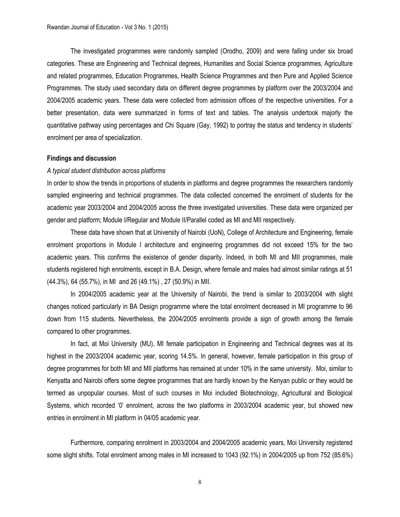The investigated programmes were randomly sampled (Orodho, 2009) and were falling under six broad categories. These are Engineering and Technical degrees, Humanities and Social Science programmes, Agriculture and related programmes, Education Programmes, Health Science Programmes and then Pure and Applied Science Programmes. The study used secondary data on different degree programmes by platform over the 2003/2004 and 2004/2005 academic years. These data were collected from admission offices of the respective universities. For a better presentation, data were summarized in forms of text and tables. The analysis undertook majorly the quantitative pathway using percentages and Chi Square (Gay, 1992) to portray the status and tendency in students' enrolment per area of specialization.

#### **Findings and discussion**

#### *A typical student distribution across platforms*

In order to show the trends in proportions of students in platforms and degree programmes the researchers randomly sampled engineering and technical programmes. The data collected concerned the enrolment of students for the academic year 2003/2004 and 2004/2005 across the three investigated universities. These data were organized per gender and platform; Module I/Regular and Module II/Parallel coded as MI and MII respectively.

These data have shown that at University of Nairobi (UoN), College of Architecture and Engineering, female enrolment proportions in Module I architecture and engineering programmes did not exceed 15% for the two academic years. This confirms the existence of gender disparity. Indeed, in both MI and MII programmes, male students registered high enrolments, except in B.A. Design, where female and males had almost similar ratings at 51 (44.3%), 64 (55.7%), in MI and 26 (49.1%) , 27 (50.9%) in MII.

In 2004/2005 academic year at the University of Nairobi, the trend is similar to 2003/2004 with slight changes noticed particularly in BA Design programme where the total enrolment decreased in MI programme to 96 down from 115 students. Nevertheless, the 2004/2005 enrolments provide a sign of growth among the female compared to other programmes.

In fact, at Moi University (MU), MI female participation in Engineering and Technical degrees was at its highest in the 2003/2004 academic year, scoring 14.5%. In general, however, female participation in this group of degree programmes for both MI and MII platforms has remained at under 10% in the same university. Moi, similar to Kenyatta and Nairobi offers some degree programmes that are hardly known by the Kenyan public or they would be termed as unpopular courses. Most of such courses in Moi included Biotechnology, Agricultural and Biological Systems, which recorded '0' enrolment, across the two platforms in 2003/2004 academic year, but showed new entries in enrolment in MI platform in 04/05 academic year.

Furthermore, comparing enrolment in 2003/2004 and 2004/2005 academic years, Moi University registered some slight shifts. Total enrolment among males in MI increased to 1043 (92.1%) in 2004/2005 up from 752 (85.6%)

8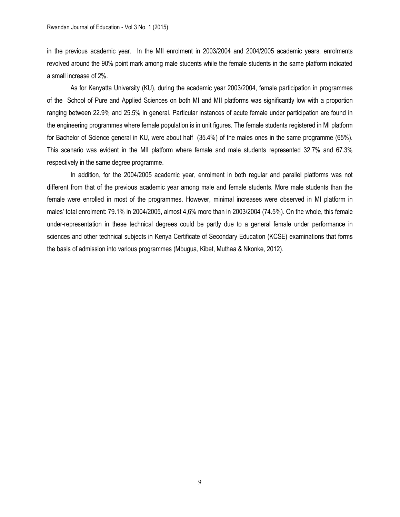in the previous academic year. In the MII enrolment in 2003/2004 and 2004/2005 academic years, enrolments revolved around the 90% point mark among male students while the female students in the same platform indicated a small increase of 2%.

As for Kenyatta University (KU), during the academic year 2003/2004, female participation in programmes of the School of Pure and Applied Sciences on both MI and MII platforms was significantly low with a proportion ranging between 22.9% and 25.5% in general. Particular instances of acute female under participation are found in the engineering programmes where female population is in unit figures. The female students registered in MI platform for Bachelor of Science general in KU, were about half (35.4%) of the males ones in the same programme (65%). This scenario was evident in the MII platform where female and male students represented 32.7% and 67.3% respectively in the same degree programme.

In addition, for the 2004/2005 academic year, enrolment in both regular and parallel platforms was not different from that of the previous academic year among male and female students. More male students than the female were enrolled in most of the programmes. However, minimal increases were observed in MI platform in males' total enrolment: 79.1% in 2004/2005, almost 4,6% more than in 2003/2004 (74.5%). On the whole, this female under-representation in these technical degrees could be partly due to a general female under performance in sciences and other technical subjects in Kenya Certificate of Secondary Education (KCSE) examinations that forms the basis of admission into various programmes (Mbugua, Kibet, Muthaa & Nkonke, 2012).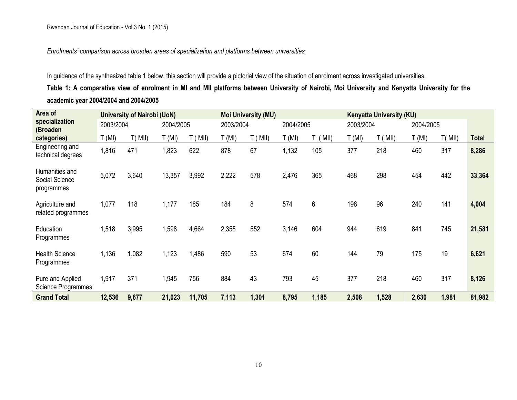*Enrolments' comparison across broaden areas of specialization and platforms between universities*

In guidance of the synthesized table 1 below, this section will provide a pictorial view of the situation of enrolment across investigated universities.

**Table 1: A comparative view of enrolment in MI and MII platforms between University of Nairobi, Moi University and Kenyatta University for the academic year 2004/2004 and 2004/2005**

| Area of                                        |           | <b>University of Nairobi (UoN)</b> |           |        |           | <b>Moi University (MU)</b> | <b>Kenyatta University (KU)</b> |       |           |        |           |        |              |
|------------------------------------------------|-----------|------------------------------------|-----------|--------|-----------|----------------------------|---------------------------------|-------|-----------|--------|-----------|--------|--------------|
| specialization<br>(Broaden                     | 2003/2004 |                                    | 2004/2005 |        | 2003/2004 |                            | 2004/2005                       |       | 2003/2004 |        | 2004/2005 |        |              |
| categories)                                    | T (MI)    | T(MII)                             | T (MI)    | (MII)  | T (MI)    | (MII)                      | $\Gamma$ (MI)                   | MII)  | T(MI)     | T(MII) | T(MI)     | T(MII) | <b>Total</b> |
| Engineering and<br>technical degrees           | 1,816     | 471                                | 1,823     | 622    | 878       | 67                         | 1,132                           | 105   | 377       | 218    | 460       | 317    | 8,286        |
| Humanities and<br>Social Science<br>programmes | 5,072     | 3,640                              | 13,357    | 3,992  | 2,222     | 578                        | 2,476                           | 365   | 468       | 298    | 454       | 442    | 33,364       |
| Agriculture and<br>related programmes          | 1,077     | 118                                | 1,177     | 185    | 184       | 8                          | 574                             | 6     | 198       | 96     | 240       | 141    | 4,004        |
| Education<br>Programmes                        | 1,518     | 3,995                              | 1,598     | 4,664  | 2,355     | 552                        | 3,146                           | 604   | 944       | 619    | 841       | 745    | 21,581       |
| <b>Health Science</b><br>Programmes            | 1,136     | 1,082                              | 1,123     | ,486   | 590       | 53                         | 674                             | 60    | 144       | 79     | 175       | 19     | 6,621        |
| Pure and Applied<br>Science Programmes         | 1,917     | 371                                | 1,945     | 756    | 884       | 43                         | 793                             | 45    | 377       | 218    | 460       | 317    | 8,126        |
| <b>Grand Total</b>                             | 12,536    | 9,677                              | 21,023    | 11,705 | 7,113     | 1,301                      | 8,795                           | 1,185 | 2,508     | 1,528  | 2,630     | 1,981  | 81,982       |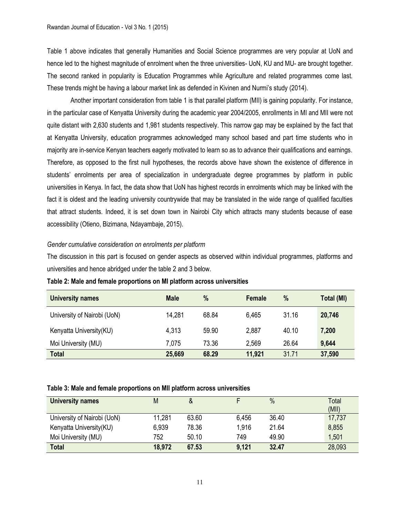Table 1 above indicates that generally Humanities and Social Science programmes are very popular at UoN and hence led to the highest magnitude of enrolment when the three universities- UoN, KU and MU- are brought together. The second ranked in popularity is Education Programmes while Agriculture and related programmes come last. These trends might be having a labour market link as defended in Kivinen and Nurmi's study (2014).

Another important consideration from table 1 is that parallel platform (MII) is gaining popularity. For instance, in the particular case of Kenyatta University during the academic year 2004/2005, enrollments in MI and MII were not quite distant with 2,630 students and 1,981 students respectively. This narrow gap may be explained by the fact that at Kenyatta University, education programmes acknowledged many school based and part time students who in majority are in-service Kenyan teachers eagerly motivated to learn so as to advance their qualifications and earnings. Therefore, as opposed to the first null hypotheses, the records above have shown the existence of difference in students' enrolments per area of specialization in undergraduate degree programmes by platform in public universities in Kenya. In fact, the data show that UoN has highest records in enrolments which may be linked with the fact it is oldest and the leading university countrywide that may be translated in the wide range of qualified faculties that attract students. Indeed, it is set down town in Nairobi City which attracts many students because of ease accessibility (Otieno, Bizimana, Ndayambaje, 2015).

# *Gender cumulative consideration on enrolments per platform*

The discussion in this part is focused on gender aspects as observed within individual programmes, platforms and universities and hence abridged under the table 2 and 3 below.

| <b>University names</b>     | <b>Male</b> | $\%$  | Female | %     | Total (MI) |
|-----------------------------|-------------|-------|--------|-------|------------|
| University of Nairobi (UoN) | 14.281      | 68.84 | 6,465  | 31.16 | 20,746     |
| Kenyatta University (KU)    | 4,313       | 59.90 | 2,887  | 40.10 | 7,200      |
| Moi University (MU)         | 7,075       | 73.36 | 2,569  | 26.64 | 9,644      |
| <b>Total</b>                | 25,669      | 68.29 | 11,921 | 31.71 | 37,590     |

**Table 2: Male and female proportions on MI platform across universities**

## **Table 3: Male and female proportions on MII platform across universities**

| <b>University names</b>     | M      | &     |       | $\frac{0}{0}$ | Total<br>(MII) |
|-----------------------------|--------|-------|-------|---------------|----------------|
| University of Nairobi (UoN) | 11,281 | 63.60 | 6,456 | 36.40         | 17,737         |
| Kenyatta University (KU)    | 6,939  | 78.36 | 1.916 | 21.64         | 8,855          |
| Moi University (MU)         | 752    | 50.10 | 749   | 49.90         | 1,501          |
| <b>Total</b>                | 18,972 | 67.53 | 9,121 | 32.47         | 28,093         |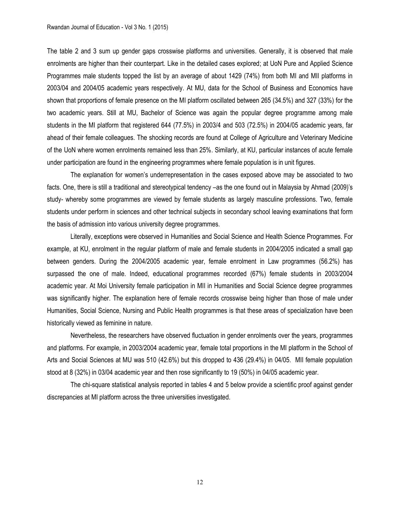The table 2 and 3 sum up gender gaps crosswise platforms and universities. Generally, it is observed that male enrolments are higher than their counterpart. Like in the detailed cases explored; at UoN Pure and Applied Science Programmes male students topped the list by an average of about 1429 (74%) from both MI and MII platforms in 2003/04 and 2004/05 academic years respectively. At MU, data for the School of Business and Economics have shown that proportions of female presence on the MI platform oscillated between 265 (34.5%) and 327 (33%) for the two academic years. Still at MU, Bachelor of Science was again the popular degree programme among male students in the MI platform that registered 644 (77.5%) in 2003/4 and 503 (72.5%) in 2004/05 academic years, far ahead of their female colleagues. The shocking records are found at College of Agriculture and Veterinary Medicine of the UoN where women enrolments remained less than 25%. Similarly, at KU, particular instances of acute female under participation are found in the engineering programmes where female population is in unit figures.

The explanation for women's underrepresentation in the cases exposed above may be associated to two facts. One, there is still a traditional and stereotypical tendency –as the one found out in Malaysia by Ahmad (2009)'s study- whereby some programmes are viewed by female students as largely masculine professions. Two, female students under perform in sciences and other technical subjects in secondary school leaving examinations that form the basis of admission into various university degree programmes.

Literally, exceptions were observed in Humanities and Social Science and Health Science Programmes. For example, at KU, enrolment in the regular platform of male and female students in 2004/2005 indicated a small gap between genders. During the 2004/2005 academic year, female enrolment in Law programmes (56.2%) has surpassed the one of male. Indeed, educational programmes recorded (67%) female students in 2003/2004 academic year. At Moi University female participation in MII in Humanities and Social Science degree programmes was significantly higher. The explanation here of female records crosswise being higher than those of male under Humanities, Social Science, Nursing and Public Health programmes is that these areas of specialization have been historically viewed as feminine in nature.

Nevertheless, the researchers have observed fluctuation in gender enrolments over the years, programmes and platforms. For example, in 2003/2004 academic year, female total proportions in the MI platform in the School of Arts and Social Sciences at MU was 510 (42.6%) but this dropped to 436 (29.4%) in 04/05. MII female population stood at 8 (32%) in 03/04 academic year and then rose significantly to 19 (50%) in 04/05 academic year.

The chi-square statistical analysis reported in tables 4 and 5 below provide a scientific proof against gender discrepancies at MI platform across the three universities investigated.

12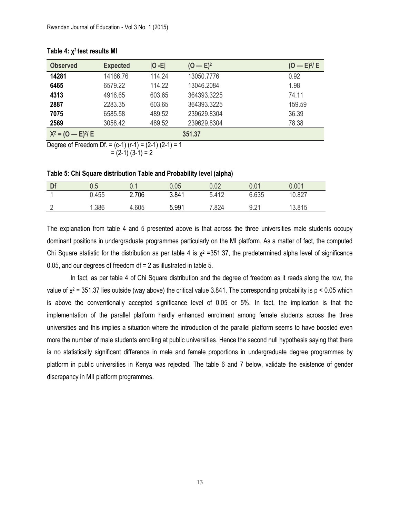| <b>Observed</b>     | <b>Expected</b> | $ 0 - E $ | $(O - E)^2$ | $(O - E)^{2}/E$ |
|---------------------|-----------------|-----------|-------------|-----------------|
| 14281               | 14166.76        | 114.24    | 13050.7776  | 0.92            |
| 6465                | 6579.22         | 114.22    | 13046.2084  | 1.98            |
| 4313                | 4916.65         | 603.65    | 364393.3225 | 74.11           |
| 2887                | 2283.35         | 603.65    | 364393.3225 | 159.59          |
| 7075                | 6585.58         | 489.52    | 239629.8304 | 36.39           |
| 2569                | 3058.42         | 489.52    | 239629.8304 | 78.38           |
| $X^2 = (0 - E)^2$ E |                 |           | 351.37      |                 |

### **Table 4: χ 2 test results MI**

Degree of Freedom Df. =  $(c-1)$   $(r-1)$  =  $(2-1)$   $(2-1)$  = 1  $= (2-1) (3-1) = 2$ 

**Table 5: Chi Square distribution Table and Probability level (alpha)**

| Df | u.u   | ∪. ∣  | 0.05  | 0.02  | 0.01  | 0.001  |
|----|-------|-------|-------|-------|-------|--------|
|    | 0.455 | 2.706 | 3.841 | 5.412 | 6.635 | 10.827 |
|    | .386  | 4.605 | 5.991 | 7.824 | 9.21  | 13.815 |

The explanation from table 4 and 5 presented above is that across the three universities male students occupy dominant positions in undergraduate programmes particularly on the MI platform. As a matter of fact, the computed Chi Square statistic for the distribution as per table 4 is  $\chi^2$  =351.37, the predetermined alpha level of significance 0.05, and our degrees of freedom df = 2 as illustrated in table 5.

In fact, as per table 4 of Chi Square distribution and the degree of freedom as it reads along the row, the value of  $\chi^2$  = 351.37 lies outside (way above) the critical value 3.841. The corresponding probability is p < 0.05 which is above the conventionally accepted significance level of 0.05 or 5%. In fact, the implication is that the implementation of the parallel platform hardly enhanced enrolment among female students across the three universities and this implies a situation where the introduction of the parallel platform seems to have boosted even more the number of male students enrolling at public universities. Hence the second null hypothesis saying that there is no statistically significant difference in male and female proportions in undergraduate degree programmes by platform in public universities in Kenya was rejected. The table 6 and 7 below, validate the existence of gender discrepancy in MII platform programmes.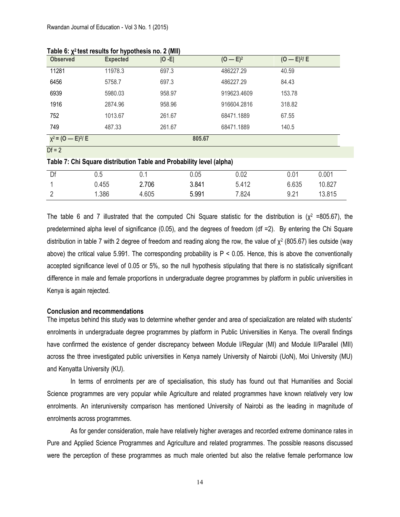| <u>. и</u><br><b>Observed</b> | <b>Expected</b> | $ O - E $ | $(O - E)^2$ | $(O - E)^{2}/E$ |
|-------------------------------|-----------------|-----------|-------------|-----------------|
| 11281                         | 11978.3         | 697.3     | 486227.29   | 40.59           |
| 6456                          | 5758.7          | 697.3     | 486227.29   | 84.43           |
| 6939                          | 5980.03         | 958.97    | 919623.4609 | 153.78          |
| 1916                          | 2874.96         | 958.96    | 916604.2816 | 318.82          |
| 752                           | 1013.67         | 261.67    | 68471.1889  | 67.55           |
| 749                           | 487.33          | 261.67    | 68471.1889  | 140.5           |
| $x^2 = (0 - E)^2/E$           |                 |           | 805.67      |                 |
| $Df = 2$                      |                 |           |             |                 |
|                               |                 |           |             |                 |

**Table 6: χ 2 test results for hypothesis no. 2 (MII)**

| Table 7: Chi Square distribution Table and Probability level (alpha) |
|----------------------------------------------------------------------|
|----------------------------------------------------------------------|

| Df | ħ<br>U.U |       | 0.05  | 0.02  | 0.01  | 0.001  |
|----|----------|-------|-------|-------|-------|--------|
|    | 0.455    | 2.706 | 3.841 | 5.412 | 6.635 | 10.827 |
| -  | 1.386    | 4.605 | 5.991 | 7.824 | 9.21  | 13.815 |

The table 6 and 7 illustrated that the computed Chi Square statistic for the distribution is ( $x^2 = 805.67$ ), the predetermined alpha level of significance (0.05), and the degrees of freedom (df =2). By entering the Chi Square distribution in table 7 with 2 degree of freedom and reading along the row, the value of  $\chi^2$  (805.67) lies outside (way above) the critical value 5.991. The corresponding probability is  $P < 0.05$ . Hence, this is above the conventionally accepted significance level of 0.05 or 5%, so the null hypothesis stipulating that there is no statistically significant difference in male and female proportions in undergraduate degree programmes by platform in public universities in Kenya is again rejected.

#### **Conclusion and recommendations**

The impetus behind this study was to determine whether gender and area of specialization are related with students' enrolments in undergraduate degree programmes by platform in Public Universities in Kenya. The overall findings have confirmed the existence of gender discrepancy between Module I/Regular (MI) and Module II/Parallel (MII) across the three investigated public universities in Kenya namely University of Nairobi (UoN), Moi University (MU) and Kenyatta University (KU).

In terms of enrolments per are of specialisation, this study has found out that Humanities and Social Science programmes are very popular while Agriculture and related programmes have known relatively very low enrolments. An interuniversity comparison has mentioned University of Nairobi as the leading in magnitude of enrolments across programmes.

As for gender consideration, male have relatively higher averages and recorded extreme dominance rates in Pure and Applied Science Programmes and Agriculture and related programmes. The possible reasons discussed were the perception of these programmes as much male oriented but also the relative female performance low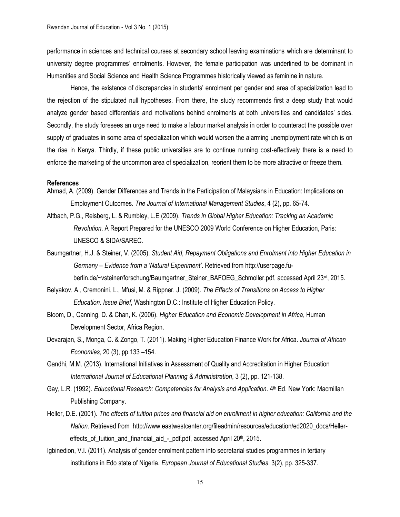performance in sciences and technical courses at secondary school leaving examinations which are determinant to university degree programmes' enrolments. However, the female participation was underlined to be dominant in Humanities and Social Science and Health Science Programmes historically viewed as feminine in nature.

Hence, the existence of discrepancies in students' enrolment per gender and area of specialization lead to the rejection of the stipulated null hypotheses. From there, the study recommends first a deep study that would analyze gender based differentials and motivations behind enrolments at both universities and candidates' sides. Secondly, the study foresees an urge need to make a labour market analysis in order to counteract the possible over supply of graduates in some area of specialization which would worsen the alarming unemployment rate which is on the rise in Kenya. Thirdly, if these public universities are to continue running cost-effectively there is a need to enforce the marketing of the uncommon area of specialization, reorient them to be more attractive or freeze them.

#### **References**

- Ahmad, A. (2009). Gender Differences and Trends in the Participation of Malaysians in Education: Implications on Employment Outcomes. *The Journal of International Management Studies*, 4 (2), pp. 65-74.
- Altbach, P.G., Reisberg, L. & Rumbley, L.E (2009). *Trends in Global Higher Education: Tracking an Academic Revolution*. A Report Prepared for the UNESCO 2009 World Conference on Higher Education, Paris: UNESCO & SIDA/SAREC.
- Baumgartner, H.J. & Steiner, V. (2005). *Student Aid, Repayment Obligations and Enrolment into Higher Education in Germany – Evidence from a 'Natural Experiment'*. Retrieved from http://userpage.fuberlin.de/~vsteiner/forschung/Baumgartner\_Steiner\_BAFOEG\_Schmoller.pdf, accessed April 23<sup>rd</sup>, 2015.
- Belyakov, A., Cremonini, L., Mfusi, M. & Rippner, J. (2009). *The Effects of Transitions on Access to Higher Education*. *Issue Brief*, Washington D.C.: Institute of Higher Education Policy.
- Bloom, D., Canning, D. & Chan, K. (2006). *Higher Education and Economic Development in Africa*, Human Development Sector, Africa Region.
- Devarajan, S., Monga, C. & Zongo, T. (2011). Making Higher Education Finance Work for Africa. *Journal of African Economies*, 20 (3), pp.133 –154.
- Gandhi, M.M. (2013). International Initiatives in Assessment of Quality and Accreditation in Higher Education *International Journal of Educational Planning & Administration*, 3 (2), pp. 121-138.
- Gay, L.R. (1992). *Educational Research: Competencies for Analysis and Application*. 4<sup>th</sup> Ed. New York: Macmillan Publishing Company.
- Heller, D.E. (2001). *The effects of tuition prices and financial aid on enrollment in higher education: California and the Nation*. Retrieved from http://www.eastwestcenter.org/fileadmin/resources/education/ed2020\_docs/Heller effects\_of\_tuition\_and\_financial\_aid\_-\_pdf.pdf, accessed April 20<sup>th</sup>, 2015.
- Igbinedion, V.I. (2011). Analysis of gender enrolment pattern into secretarial studies programmes in tertiary institutions in Edo state of Nigeria. *European Journal of Educational Studies*, 3(2), pp. 325-337.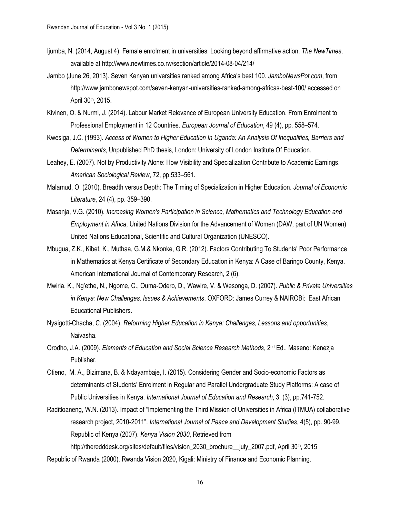- Ijumba, N. (2014, August 4). Female enrolment in universities: Looking beyond affirmative action. *The NewTimes*, available at http://www.newtimes.co.rw/section/article/2014-08-04/214/
- [Jambo](http://www.jambonewspot.com/author/admin/) (June 26, 2013). Seven Kenyan universities ranked among Africa's best 100. *JamboNewsPot.com*, from http://www.jambonewspot.com/seven-kenyan-universities-ranked-among-africas-best-100/ accessed on April 30th, 2015.
- Kivinen, O. & Nurmi, J. (2014). Labour Market Relevance of European University Education. From Enrolment to Professional Employment in 12 Countries. *European Journal of Education*, 49 (4), pp. 558–574.
- Kwesiga, J.C. (1993). *Access of Women to Higher Education In Uganda: An Analysis Of Inequalities, Barriers and Determinants*, Unpublished PhD thesis, London: University of London Institute Of Education.
- Leahey, E. (2007). Not by Productivity Alone: How Visibility and Specialization Contribute to Academic Earnings. *American Sociological Review*, 72, pp.533–561.
- Malamud, O. (2010). Breadth versus Depth: The Timing of Specialization in Higher Education. *Journal of Economic Literature*, 24 (4), pp. 359–390.
- Masanja, V.G. (2010). *Increasing Women's Participation in Science, Mathematics and Technology Education and Employment in Africa*, United Nations Division for the Advancement of Women (DAW, part of UN Women) United Nations Educational, Scientific and Cultural Organization (UNESCO).
- Mbugua, Z.K., Kibet, K., Muthaa, G.M.& Nkonke, G.R. (2012). Factors Contributing To Students' Poor Performance in Mathematics at Kenya Certificate of Secondary Education in Kenya: A Case of Baringo County, Kenya. American International Journal of Contemporary Research, 2 (6).
- Mwiria, K., Ng'ethe, N., Ngome, C., Ouma-Odero, D., Wawire, V. & Wesonga, D. (2007). *Public & Private Universities in Kenya: New Challenges, Issues & Achievements*. OXFORD: James Currey & NAIROBi: East African Educational Publishers.
- Nyaigotti-Chacha, C. (2004). *Reforming Higher Education in Kenya: Challenges, Lessons and opportunities*, Naivasha.
- Orodho, J.A. (2009). *Elements of Education and Social Science Research Methods*, 2nd Ed.. Maseno: Kenezja Publisher.
- Otieno, M. A., Bizimana, B. & Ndayambaje, I. (2015). Considering Gender and Socio-economic Factors as determinants of Students' Enrolment in Regular and Parallel Undergraduate Study Platforms: A case of Public Universities in Kenya. *International Journal of Education and Research*, 3, (3), pp.741-752.
- Raditloaneng, W.N. (2013). Impact of "Implementing the Third Mission of Universities in Africa (ITMUA) collaborative research project, 2010-2011". *International Journal of Peace and Development Studies*, 4(5), pp. 90-99. Republic of Kenya (2007). *Kenya Vision 2030*, Retrieved from

http://theredddesk.org/sites/default/files/vision\_2030\_brochure\_\_july\_2007.pdf, April 30<sup>th</sup>, 2015

Republic of Rwanda (2000). Rwanda Vision 2020, Kigali: Ministry of Finance and Economic Planning.